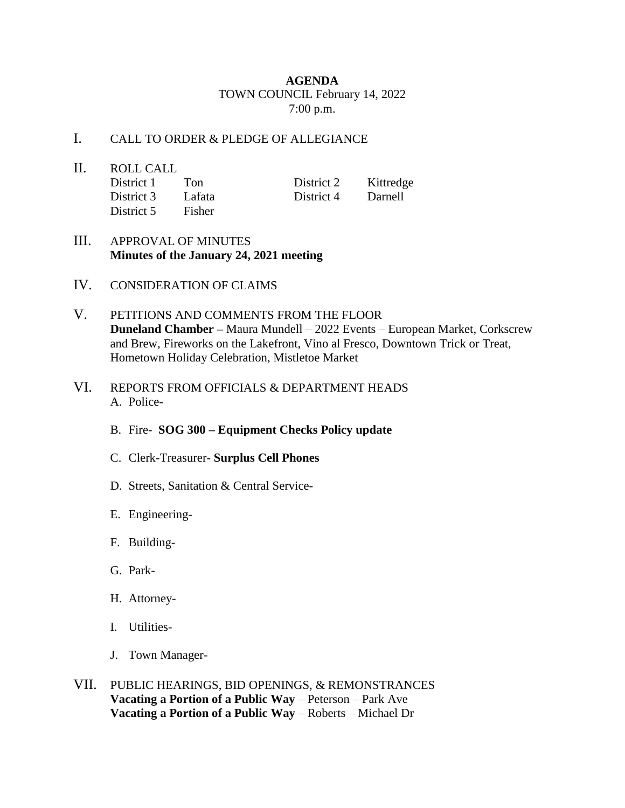## **AGENDA** TOWN COUNCIL February 14, 2022 7:00 p.m.

## I. CALL TO ORDER & PLEDGE OF ALLEGIANCE

- II. ROLL CALL District 1 Ton District 2 Kittredge District 3 Lafata District 4 Darnell District 5 Fisher
- III. APPROVAL OF MINUTES **Minutes of the January 24, 2021 meeting**
- IV. CONSIDERATION OF CLAIMS
- V. PETITIONS AND COMMENTS FROM THE FLOOR **Duneland Chamber –** Maura Mundell – 2022 Events – European Market, Corkscrew and Brew, Fireworks on the Lakefront, Vino al Fresco, Downtown Trick or Treat, Hometown Holiday Celebration, Mistletoe Market
- VI. REPORTS FROM OFFICIALS & DEPARTMENT HEADS A. Police-
	- B. Fire- **SOG 300 – Equipment Checks Policy update**
	- C. Clerk-Treasurer- **Surplus Cell Phones**
	- D. Streets, Sanitation & Central Service-
	- E. Engineering-
	- F. Building-
	- G. Park-
	- H. Attorney-
	- I. Utilities-
	- J. Town Manager-
- VII. PUBLIC HEARINGS, BID OPENINGS, & REMONSTRANCES **Vacating a Portion of a Public Way** – Peterson – Park Ave **Vacating a Portion of a Public Way** – Roberts – Michael Dr